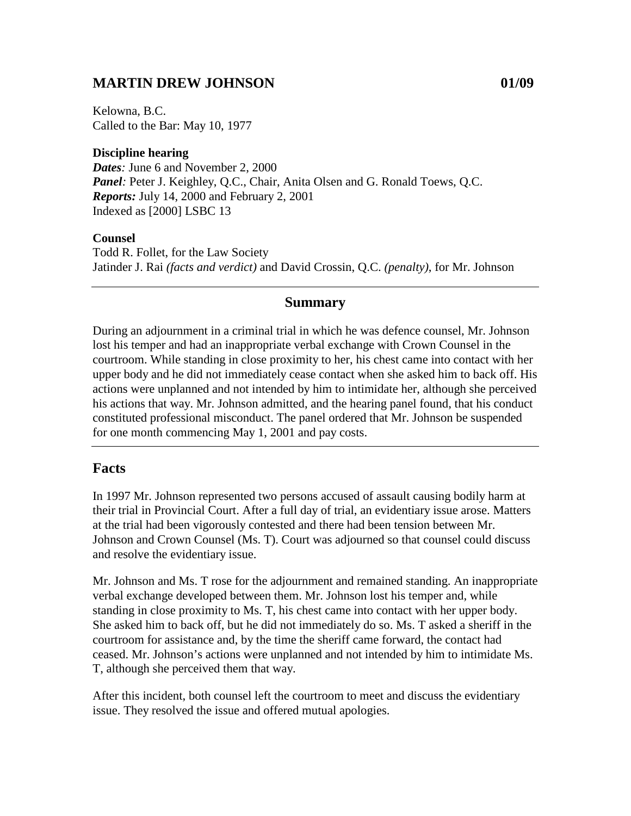### **MARTIN DREW JOHNSON 01/09**

Kelowna, B.C. Called to the Bar: May 10, 1977

#### **Discipline hearing**

*Dates:* June 6 and November 2, 2000 *Panel*: Peter J. Keighley, Q.C., Chair, Anita Olsen and G. Ronald Toews, Q.C. *Reports:* July 14, 2000 and February 2, 2001 Indexed as [2000] LSBC 13

#### **Counsel**

Todd R. Follet, for the Law Society Jatinder J. Rai *(facts and verdict)* and David Crossin, Q.C. *(penalty)*, for Mr. Johnson

#### **Summary**

During an adjournment in a criminal trial in which he was defence counsel, Mr. Johnson lost his temper and had an inappropriate verbal exchange with Crown Counsel in the courtroom. While standing in close proximity to her, his chest came into contact with her upper body and he did not immediately cease contact when she asked him to back off. His actions were unplanned and not intended by him to intimidate her, although she perceived his actions that way. Mr. Johnson admitted, and the hearing panel found, that his conduct constituted professional misconduct. The panel ordered that Mr. Johnson be suspended for one month commencing May 1, 2001 and pay costs.

### **Facts**

In 1997 Mr. Johnson represented two persons accused of assault causing bodily harm at their trial in Provincial Court. After a full day of trial, an evidentiary issue arose. Matters at the trial had been vigorously contested and there had been tension between Mr. Johnson and Crown Counsel (Ms. T). Court was adjourned so that counsel could discuss and resolve the evidentiary issue.

Mr. Johnson and Ms. T rose for the adjournment and remained standing. An inappropriate verbal exchange developed between them. Mr. Johnson lost his temper and, while standing in close proximity to Ms. T, his chest came into contact with her upper body. She asked him to back off, but he did not immediately do so. Ms. T asked a sheriff in the courtroom for assistance and, by the time the sheriff came forward, the contact had ceased. Mr. Johnson's actions were unplanned and not intended by him to intimidate Ms. T, although she perceived them that way.

After this incident, both counsel left the courtroom to meet and discuss the evidentiary issue. They resolved the issue and offered mutual apologies.